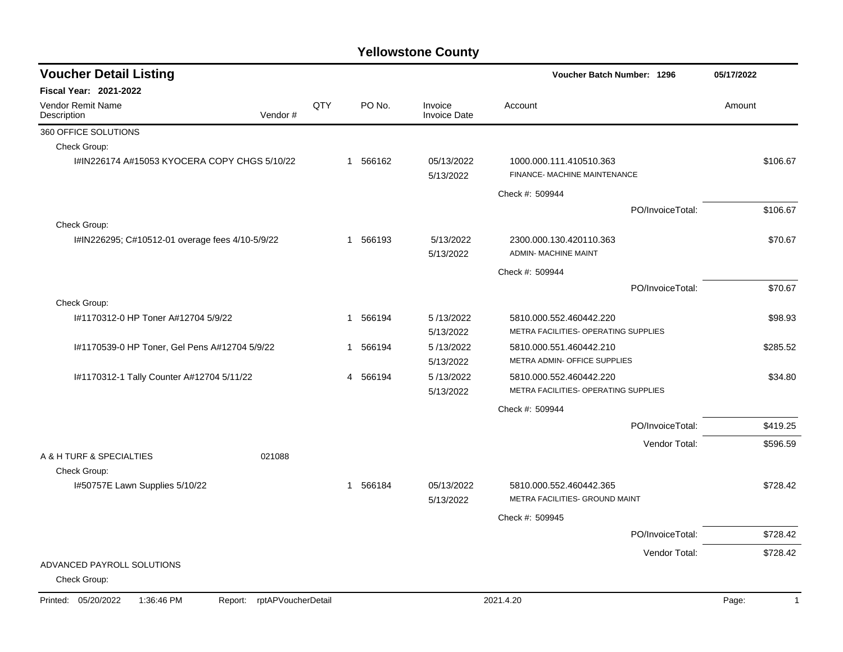| <b>Voucher Detail Listing</b>                   |                               |     |             |                                | Voucher Batch Number: 1296                                      |                  | 05/17/2022              |
|-------------------------------------------------|-------------------------------|-----|-------------|--------------------------------|-----------------------------------------------------------------|------------------|-------------------------|
| <b>Fiscal Year: 2021-2022</b>                   |                               |     |             |                                |                                                                 |                  |                         |
| <b>Vendor Remit Name</b><br>Description         | Vendor#                       | QTY | PO No.      | Invoice<br><b>Invoice Date</b> | Account                                                         |                  | Amount                  |
| 360 OFFICE SOLUTIONS                            |                               |     |             |                                |                                                                 |                  |                         |
| Check Group:                                    |                               |     |             |                                |                                                                 |                  |                         |
| I#IN226174 A#15053 KYOCERA COPY CHGS 5/10/22    |                               |     | 1 566162    | 05/13/2022<br>5/13/2022        | 1000.000.111.410510.363<br>FINANCE- MACHINE MAINTENANCE         |                  | \$106.67                |
|                                                 |                               |     |             |                                | Check #: 509944                                                 |                  |                         |
|                                                 |                               |     |             |                                |                                                                 | PO/InvoiceTotal: | \$106.67                |
| Check Group:                                    |                               |     |             |                                |                                                                 |                  |                         |
| I#IN226295; C#10512-01 overage fees 4/10-5/9/22 |                               |     | 1 566193    | 5/13/2022<br>5/13/2022         | 2300.000.130.420110.363<br><b>ADMIN- MACHINE MAINT</b>          |                  | \$70.67                 |
|                                                 |                               |     |             |                                | Check #: 509944                                                 |                  |                         |
|                                                 |                               |     |             |                                |                                                                 | PO/InvoiceTotal: | \$70.67                 |
| Check Group:                                    |                               |     |             |                                |                                                                 |                  |                         |
| I#1170312-0 HP Toner A#12704 5/9/22             |                               |     | 566194<br>1 | 5/13/2022<br>5/13/2022         | 5810.000.552.460442.220<br>METRA FACILITIES- OPERATING SUPPLIES |                  | \$98.93                 |
| I#1170539-0 HP Toner, Gel Pens A#12704 5/9/22   |                               |     | 566194<br>1 | 5/13/2022                      | 5810.000.551.460442.210                                         |                  | \$285.52                |
|                                                 |                               |     |             | 5/13/2022                      | METRA ADMIN- OFFICE SUPPLIES                                    |                  |                         |
| I#1170312-1 Tally Counter A#12704 5/11/22       |                               |     | 4 566194    | 5/13/2022                      | 5810.000.552.460442.220                                         |                  | \$34.80                 |
|                                                 |                               |     |             | 5/13/2022                      | METRA FACILITIES- OPERATING SUPPLIES                            |                  |                         |
|                                                 |                               |     |             |                                | Check #: 509944                                                 |                  |                         |
|                                                 |                               |     |             |                                |                                                                 | PO/InvoiceTotal: | \$419.25                |
|                                                 |                               |     |             |                                |                                                                 | Vendor Total:    | \$596.59                |
| A & H TURF & SPECIALTIES                        | 021088                        |     |             |                                |                                                                 |                  |                         |
| Check Group:                                    |                               |     |             |                                |                                                                 |                  |                         |
| I#50757E Lawn Supplies 5/10/22                  |                               |     | 566184<br>1 | 05/13/2022<br>5/13/2022        | 5810.000.552.460442.365<br>METRA FACILITIES- GROUND MAINT       |                  | \$728.42                |
|                                                 |                               |     |             |                                | Check #: 509945                                                 |                  |                         |
|                                                 |                               |     |             |                                |                                                                 | PO/InvoiceTotal: | \$728.42                |
|                                                 |                               |     |             |                                |                                                                 | Vendor Total:    | \$728.42                |
| ADVANCED PAYROLL SOLUTIONS<br>Check Group:      |                               |     |             |                                |                                                                 |                  |                         |
| Printed: 05/20/2022<br>1:36:46 PM               | rptAPVoucherDetail<br>Report: |     |             |                                | 2021.4.20                                                       |                  | Page:<br>$\overline{1}$ |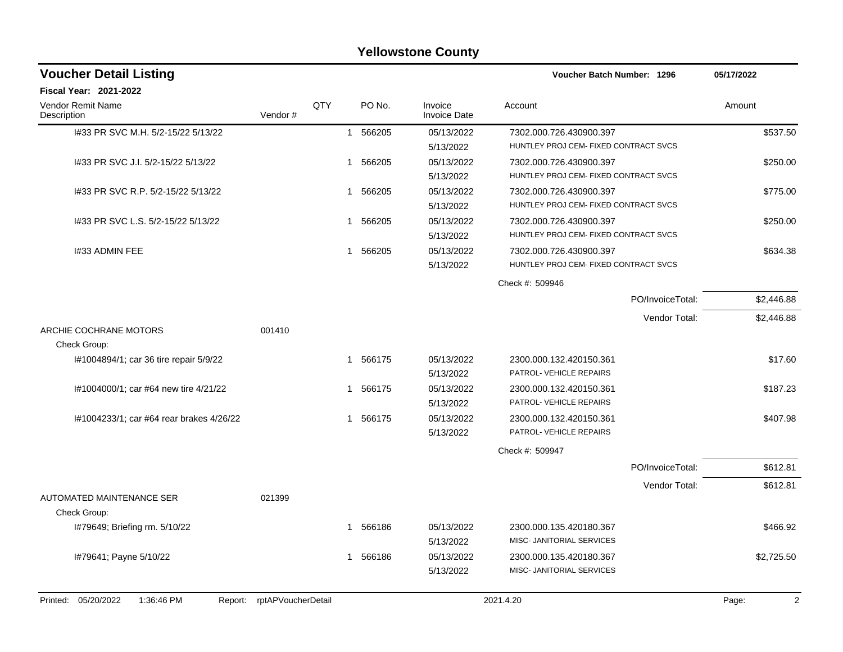|                                          |                            |                |          | <b>Yellowstone County</b>      |                                       |                  |            |
|------------------------------------------|----------------------------|----------------|----------|--------------------------------|---------------------------------------|------------------|------------|
| <b>Voucher Detail Listing</b>            |                            |                |          |                                | <b>Voucher Batch Number: 1296</b>     |                  | 05/17/2022 |
| <b>Fiscal Year: 2021-2022</b>            |                            |                |          |                                |                                       |                  |            |
| Vendor Remit Name<br>Description         | Vendor#                    | QTY            | PO No.   | Invoice<br><b>Invoice Date</b> | Account                               |                  | Amount     |
| I#33 PR SVC M.H. 5/2-15/22 5/13/22       |                            | $\mathbf{1}$   | 566205   | 05/13/2022                     | 7302.000.726.430900.397               |                  | \$537.50   |
|                                          |                            |                |          | 5/13/2022                      | HUNTLEY PROJ CEM- FIXED CONTRACT SVCS |                  |            |
| I#33 PR SVC J.I. 5/2-15/22 5/13/22       |                            | -1             | 566205   | 05/13/2022                     | 7302.000.726.430900.397               |                  | \$250.00   |
|                                          |                            |                |          | 5/13/2022                      | HUNTLEY PROJ CEM- FIXED CONTRACT SVCS |                  |            |
| 1#33 PR SVC R.P. 5/2-15/22 5/13/22       |                            | -1             | 566205   | 05/13/2022                     | 7302.000.726.430900.397               |                  | \$775.00   |
|                                          |                            |                |          | 5/13/2022                      | HUNTLEY PROJ CEM- FIXED CONTRACT SVCS |                  |            |
| 1#33 PR SVC L.S. 5/2-15/22 5/13/22       |                            | 1              | 566205   | 05/13/2022                     | 7302.000.726.430900.397               |                  | \$250.00   |
|                                          |                            |                |          | 5/13/2022                      | HUNTLEY PROJ CEM- FIXED CONTRACT SVCS |                  |            |
| 1#33 ADMIN FEE                           |                            | 1              | 566205   | 05/13/2022                     | 7302.000.726.430900.397               |                  | \$634.38   |
|                                          |                            |                |          | 5/13/2022                      | HUNTLEY PROJ CEM- FIXED CONTRACT SVCS |                  |            |
|                                          |                            |                |          |                                | Check #: 509946                       |                  |            |
|                                          |                            |                |          |                                |                                       | PO/InvoiceTotal: | \$2,446.88 |
|                                          |                            |                |          |                                |                                       | Vendor Total:    | \$2,446.88 |
| ARCHIE COCHRANE MOTORS                   | 001410                     |                |          |                                |                                       |                  |            |
| Check Group:                             |                            |                |          |                                |                                       |                  |            |
| I#1004894/1; car 36 tire repair 5/9/22   |                            | 1              | 566175   | 05/13/2022                     | 2300.000.132.420150.361               |                  | \$17.60    |
|                                          |                            |                |          | 5/13/2022                      | PATROL- VEHICLE REPAIRS               |                  |            |
| I#1004000/1; car #64 new tire 4/21/22    |                            | -1             | 566175   | 05/13/2022                     | 2300.000.132.420150.361               |                  | \$187.23   |
|                                          |                            |                |          | 5/13/2022                      | PATROL- VEHICLE REPAIRS               |                  |            |
| l#1004233/1; car #64 rear brakes 4/26/22 |                            | -1             | 566175   | 05/13/2022                     | 2300.000.132.420150.361               |                  | \$407.98   |
|                                          |                            |                |          | 5/13/2022                      | PATROL- VEHICLE REPAIRS               |                  |            |
|                                          |                            |                |          |                                | Check #: 509947                       |                  |            |
|                                          |                            |                |          |                                |                                       | PO/InvoiceTotal: | \$612.81   |
|                                          |                            |                |          |                                |                                       | Vendor Total:    | \$612.81   |
| AUTOMATED MAINTENANCE SER                | 021399                     |                |          |                                |                                       |                  |            |
| Check Group:                             |                            |                |          |                                |                                       |                  |            |
| I#79649; Briefing rm. 5/10/22            |                            | $\overline{1}$ | 566186   | 05/13/2022                     | 2300.000.135.420180.367               |                  | \$466.92   |
|                                          |                            |                |          | 5/13/2022                      | MISC- JANITORIAL SERVICES             |                  |            |
| I#79641; Payne 5/10/22                   |                            |                | 1 566186 | 05/13/2022                     | 2300.000.135.420180.367               |                  | \$2,725.50 |
|                                          |                            |                |          | 5/13/2022                      | MISC- JANITORIAL SERVICES             |                  |            |
| Printed: 05/20/2022<br>1:36:46 PM        | Report: rptAPVoucherDetail |                |          |                                | 2021.4.20                             |                  | Page:<br>2 |
|                                          |                            |                |          |                                |                                       |                  |            |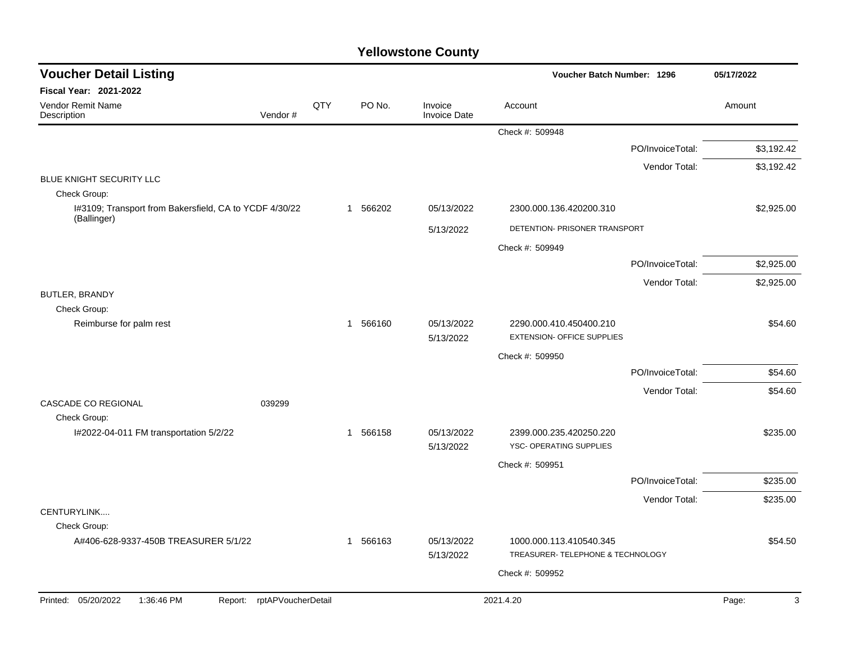| <b>Voucher Detail Listing</b>                                         |     |          |                                | Voucher Batch Number: 1296                                   |                  | 05/17/2022 |  |
|-----------------------------------------------------------------------|-----|----------|--------------------------------|--------------------------------------------------------------|------------------|------------|--|
| <b>Fiscal Year: 2021-2022</b>                                         |     |          |                                |                                                              |                  |            |  |
| Vendor Remit Name<br>Vendor#<br>Description                           | QTY | PO No.   | Invoice<br><b>Invoice Date</b> | Account                                                      |                  | Amount     |  |
|                                                                       |     |          |                                | Check #: 509948                                              |                  |            |  |
|                                                                       |     |          |                                |                                                              | PO/InvoiceTotal: | \$3,192.42 |  |
|                                                                       |     |          |                                |                                                              | Vendor Total:    | \$3,192.42 |  |
| BLUE KNIGHT SECURITY LLC<br>Check Group:                              |     |          |                                |                                                              |                  |            |  |
| I#3109; Transport from Bakersfield, CA to YCDF 4/30/22<br>(Ballinger) |     | 1 566202 | 05/13/2022                     | 2300.000.136.420200.310                                      |                  | \$2,925.00 |  |
|                                                                       |     |          | 5/13/2022                      | DETENTION- PRISONER TRANSPORT                                |                  |            |  |
|                                                                       |     |          |                                | Check #: 509949                                              |                  |            |  |
|                                                                       |     |          |                                |                                                              | PO/InvoiceTotal: | \$2,925.00 |  |
|                                                                       |     |          |                                |                                                              | Vendor Total:    | \$2,925.00 |  |
| <b>BUTLER, BRANDY</b><br>Check Group:                                 |     |          |                                |                                                              |                  |            |  |
| Reimburse for palm rest                                               |     | 1 566160 | 05/13/2022<br>5/13/2022        | 2290.000.410.450400.210<br><b>EXTENSION- OFFICE SUPPLIES</b> |                  | \$54.60    |  |
|                                                                       |     |          |                                | Check #: 509950                                              |                  |            |  |
|                                                                       |     |          |                                |                                                              | PO/InvoiceTotal: | \$54.60    |  |
|                                                                       |     |          |                                |                                                              | Vendor Total:    | \$54.60    |  |
| <b>CASCADE CO REGIONAL</b><br>039299                                  |     |          |                                |                                                              |                  |            |  |
| Check Group:                                                          |     |          |                                |                                                              |                  |            |  |
| I#2022-04-011 FM transportation 5/2/22                                |     | 1 566158 | 05/13/2022<br>5/13/2022        | 2399.000.235.420250.220<br>YSC- OPERATING SUPPLIES           |                  | \$235.00   |  |
|                                                                       |     |          |                                | Check #: 509951                                              |                  |            |  |
|                                                                       |     |          |                                |                                                              | PO/InvoiceTotal: | \$235.00   |  |
|                                                                       |     |          |                                |                                                              | Vendor Total:    | \$235.00   |  |
| CENTURYLINK<br>Check Group:                                           |     |          |                                |                                                              |                  |            |  |
| A#406-628-9337-450B TREASURER 5/1/22                                  |     | 1 566163 | 05/13/2022                     | 1000.000.113.410540.345                                      |                  | \$54.50    |  |
|                                                                       |     |          | 5/13/2022                      | TREASURER- TELEPHONE & TECHNOLOGY                            |                  |            |  |
|                                                                       |     |          |                                | Check #: 509952                                              |                  |            |  |
|                                                                       |     |          |                                |                                                              |                  |            |  |
| Printed: 05/20/2022<br>1:36:46 PM<br>rptAPVoucherDetail<br>Report:    |     |          |                                | 2021.4.20                                                    |                  | Page:<br>3 |  |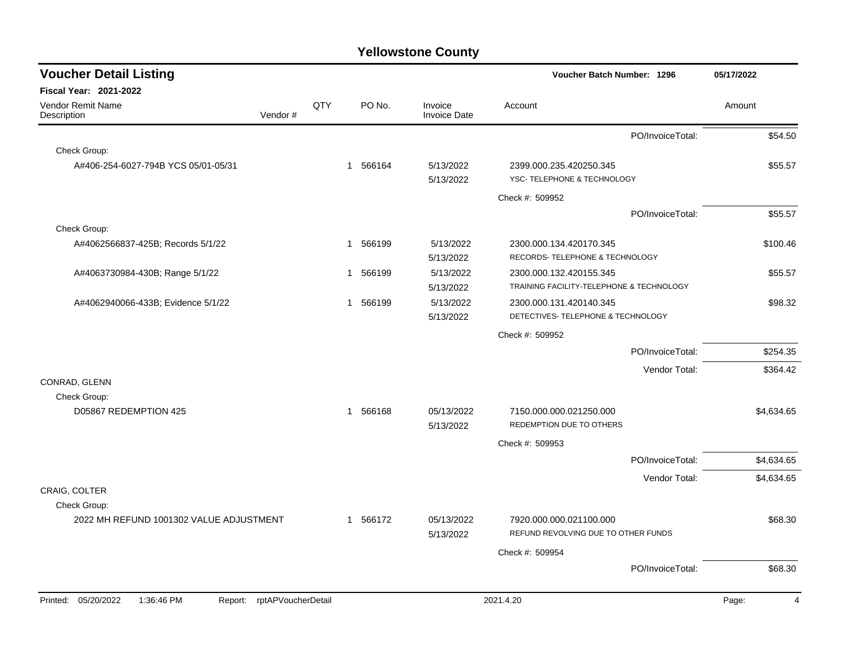| <b>Voucher Detail Listing</b>                |                    |              |                        |                                | Voucher Batch Number: 1296                                    | 05/17/2022 |
|----------------------------------------------|--------------------|--------------|------------------------|--------------------------------|---------------------------------------------------------------|------------|
| <b>Fiscal Year: 2021-2022</b>                |                    |              |                        |                                |                                                               |            |
| <b>Vendor Remit Name</b><br>Description      | Vendor#            | QTY          | PO No.                 | Invoice<br><b>Invoice Date</b> | Account                                                       | Amount     |
|                                              |                    |              |                        |                                | PO/InvoiceTotal:                                              | \$54.50    |
| Check Group:                                 |                    |              |                        |                                |                                                               |            |
| A#406-254-6027-794B YCS 05/01-05/31          |                    |              | 1 566164               | 5/13/2022                      | 2399.000.235.420250.345                                       | \$55.57    |
|                                              |                    |              |                        | 5/13/2022                      | YSC-TELEPHONE & TECHNOLOGY                                    |            |
|                                              |                    |              |                        |                                | Check #: 509952                                               |            |
|                                              |                    |              |                        |                                | PO/InvoiceTotal:                                              | \$55.57    |
| Check Group:                                 |                    |              |                        |                                |                                                               |            |
| A#4062566837-425B; Records 5/1/22            |                    | $\mathbf{1}$ | 566199                 | 5/13/2022                      | 2300.000.134.420170.345                                       | \$100.46   |
|                                              |                    |              |                        | 5/13/2022                      | RECORDS- TELEPHONE & TECHNOLOGY                               |            |
| A#4063730984-430B; Range 5/1/22              |                    |              | 566199<br>$\mathbf{1}$ | 5/13/2022                      | 2300.000.132.420155.345                                       | \$55.57    |
|                                              |                    |              |                        | 5/13/2022                      | TRAINING FACILITY-TELEPHONE & TECHNOLOGY                      |            |
| A#4062940066-433B; Evidence 5/1/22           |                    |              | 566199<br>$\mathbf{1}$ | 5/13/2022                      | 2300.000.131.420140.345<br>DETECTIVES- TELEPHONE & TECHNOLOGY | \$98.32    |
|                                              |                    |              |                        | 5/13/2022                      |                                                               |            |
|                                              |                    |              |                        |                                | Check #: 509952                                               |            |
|                                              |                    |              |                        |                                | PO/InvoiceTotal:                                              | \$254.35   |
|                                              |                    |              |                        |                                | Vendor Total:                                                 | \$364.42   |
| CONRAD, GLENN                                |                    |              |                        |                                |                                                               |            |
| Check Group:                                 |                    |              |                        |                                |                                                               |            |
| D05867 REDEMPTION 425                        |                    |              | 1 566168               | 05/13/2022<br>5/13/2022        | 7150.000.000.021250.000<br>REDEMPTION DUE TO OTHERS           | \$4,634.65 |
|                                              |                    |              |                        |                                |                                                               |            |
|                                              |                    |              |                        |                                | Check #: 509953<br>PO/InvoiceTotal:                           | \$4,634.65 |
|                                              |                    |              |                        |                                |                                                               |            |
| CRAIG, COLTER                                |                    |              |                        |                                | Vendor Total:                                                 | \$4,634.65 |
| Check Group:                                 |                    |              |                        |                                |                                                               |            |
| 2022 MH REFUND 1001302 VALUE ADJUSTMENT      |                    |              | 1 566172               | 05/13/2022                     | 7920.000.000.021100.000                                       | \$68.30    |
|                                              |                    |              |                        | 5/13/2022                      | REFUND REVOLVING DUE TO OTHER FUNDS                           |            |
|                                              |                    |              |                        |                                | Check #: 509954                                               |            |
|                                              |                    |              |                        |                                | PO/InvoiceTotal:                                              | \$68.30    |
|                                              |                    |              |                        |                                |                                                               |            |
| Printed: 05/20/2022<br>1:36:46 PM<br>Report: | rptAPVoucherDetail |              |                        |                                | 2021.4.20                                                     | Page:<br>Δ |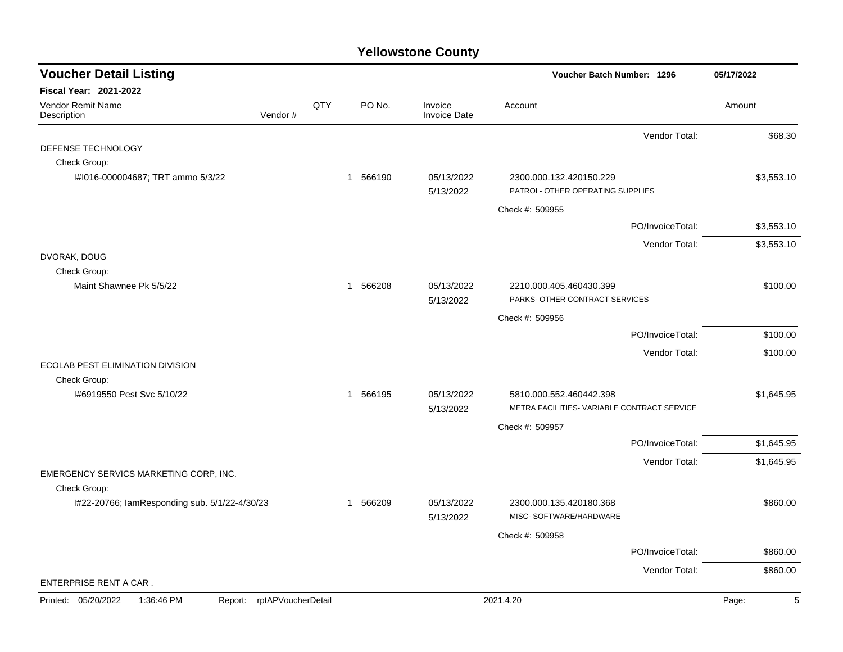| <b>Voucher Detail Listing</b>                 |                    |     |                        |                                | <b>Voucher Batch Number: 1296</b>                                      |                  | 05/17/2022 |
|-----------------------------------------------|--------------------|-----|------------------------|--------------------------------|------------------------------------------------------------------------|------------------|------------|
| <b>Fiscal Year: 2021-2022</b>                 |                    |     |                        |                                |                                                                        |                  |            |
| <b>Vendor Remit Name</b><br>Description       | Vendor#            | QTY | PO No.                 | Invoice<br><b>Invoice Date</b> | Account                                                                |                  | Amount     |
|                                               |                    |     |                        |                                |                                                                        | Vendor Total:    | \$68.30    |
| DEFENSE TECHNOLOGY                            |                    |     |                        |                                |                                                                        |                  |            |
| Check Group:                                  |                    |     |                        |                                |                                                                        |                  |            |
| I#I016-000004687; TRT ammo 5/3/22             |                    |     | 1 566190               | 05/13/2022<br>5/13/2022        | 2300.000.132.420150.229<br>PATROL- OTHER OPERATING SUPPLIES            |                  | \$3,553.10 |
|                                               |                    |     |                        |                                | Check #: 509955                                                        |                  |            |
|                                               |                    |     |                        |                                |                                                                        | PO/InvoiceTotal: | \$3,553.10 |
|                                               |                    |     |                        |                                |                                                                        | Vendor Total:    | \$3,553.10 |
| DVORAK, DOUG<br>Check Group:                  |                    |     |                        |                                |                                                                        |                  |            |
| Maint Shawnee Pk 5/5/22                       |                    |     | 566208<br>$\mathbf{1}$ | 05/13/2022                     | 2210.000.405.460430.399                                                |                  | \$100.00   |
|                                               |                    |     |                        | 5/13/2022                      | PARKS- OTHER CONTRACT SERVICES                                         |                  |            |
|                                               |                    |     |                        |                                | Check #: 509956                                                        |                  |            |
|                                               |                    |     |                        |                                |                                                                        | PO/InvoiceTotal: | \$100.00   |
|                                               |                    |     |                        |                                |                                                                        | Vendor Total:    | \$100.00   |
| <b>ECOLAB PEST ELIMINATION DIVISION</b>       |                    |     |                        |                                |                                                                        |                  |            |
| Check Group:                                  |                    |     |                        |                                |                                                                        |                  |            |
| I#6919550 Pest Svc 5/10/22                    |                    |     | 1 566195               | 05/13/2022<br>5/13/2022        | 5810.000.552.460442.398<br>METRA FACILITIES- VARIABLE CONTRACT SERVICE |                  | \$1,645.95 |
|                                               |                    |     |                        |                                | Check #: 509957                                                        |                  |            |
|                                               |                    |     |                        |                                |                                                                        | PO/InvoiceTotal: | \$1,645.95 |
|                                               |                    |     |                        |                                |                                                                        | Vendor Total:    | \$1,645.95 |
| EMERGENCY SERVICS MARKETING CORP, INC.        |                    |     |                        |                                |                                                                        |                  |            |
| Check Group:                                  |                    |     |                        |                                |                                                                        |                  |            |
| I#22-20766; lamResponding sub. 5/1/22-4/30/23 |                    |     | 566209<br>1            | 05/13/2022<br>5/13/2022        | 2300.000.135.420180.368<br>MISC-SOFTWARE/HARDWARE                      |                  | \$860.00   |
|                                               |                    |     |                        |                                | Check #: 509958                                                        |                  |            |
|                                               |                    |     |                        |                                |                                                                        | PO/InvoiceTotal: | \$860.00   |
|                                               |                    |     |                        |                                |                                                                        | Vendor Total:    | \$860.00   |
| ENTERPRISE RENT A CAR.                        |                    |     |                        |                                |                                                                        |                  |            |
| 1:36:46 PM<br>Printed: 05/20/2022<br>Report:  | rptAPVoucherDetail |     |                        |                                | 2021.4.20                                                              |                  | Page:<br>5 |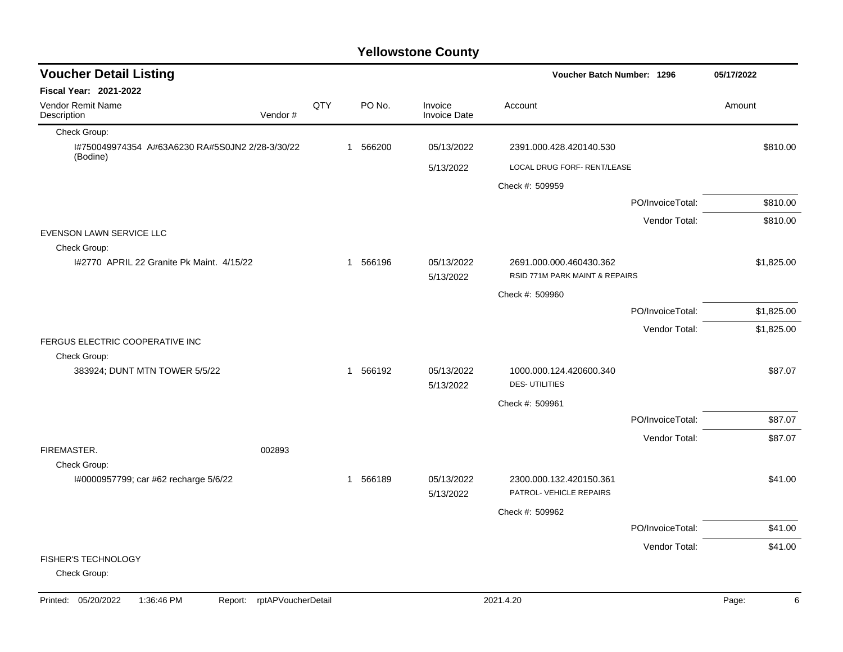| <b>Voucher Detail Listing</b>                               |         |     |          | Voucher Batch Number: 1296     |                                                    |                  | 05/17/2022 |
|-------------------------------------------------------------|---------|-----|----------|--------------------------------|----------------------------------------------------|------------------|------------|
| <b>Fiscal Year: 2021-2022</b>                               |         |     |          |                                |                                                    |                  |            |
| Vendor Remit Name<br>Description                            | Vendor# | QTY | PO No.   | Invoice<br><b>Invoice Date</b> | Account                                            |                  | Amount     |
| Check Group:                                                |         |     |          |                                |                                                    |                  |            |
| I#750049974354 A#63A6230 RA#5S0JN2 2/28-3/30/22<br>(Bodine) |         |     | 1 566200 | 05/13/2022                     | 2391.000.428.420140.530                            |                  | \$810.00   |
|                                                             |         |     |          | 5/13/2022                      | LOCAL DRUG FORF- RENT/LEASE                        |                  |            |
|                                                             |         |     |          |                                | Check #: 509959                                    |                  |            |
|                                                             |         |     |          |                                |                                                    | PO/InvoiceTotal: | \$810.00   |
|                                                             |         |     |          |                                |                                                    | Vendor Total:    | \$810.00   |
| EVENSON LAWN SERVICE LLC                                    |         |     |          |                                |                                                    |                  |            |
| Check Group:<br>1#2770 APRIL 22 Granite Pk Maint, 4/15/22   |         |     | 1 566196 | 05/13/2022                     | 2691.000.000.460430.362                            |                  | \$1,825.00 |
|                                                             |         |     |          | 5/13/2022                      | RSID 771M PARK MAINT & REPAIRS                     |                  |            |
|                                                             |         |     |          |                                | Check #: 509960                                    |                  |            |
|                                                             |         |     |          |                                |                                                    | PO/InvoiceTotal: | \$1,825.00 |
|                                                             |         |     |          |                                |                                                    | Vendor Total:    | \$1,825.00 |
| FERGUS ELECTRIC COOPERATIVE INC                             |         |     |          |                                |                                                    |                  |            |
| Check Group:                                                |         |     |          |                                |                                                    |                  |            |
| 383924; DUNT MTN TOWER 5/5/22                               |         |     | 1 566192 | 05/13/2022<br>5/13/2022        | 1000.000.124.420600.340<br><b>DES-UTILITIES</b>    |                  | \$87.07    |
|                                                             |         |     |          |                                | Check #: 509961                                    |                  |            |
|                                                             |         |     |          |                                |                                                    | PO/InvoiceTotal: | \$87.07    |
|                                                             |         |     |          |                                |                                                    | Vendor Total:    | \$87.07    |
| FIREMASTER.<br>002893                                       |         |     |          |                                |                                                    |                  |            |
| Check Group:                                                |         |     |          |                                |                                                    |                  |            |
| I#0000957799; car #62 recharge 5/6/22                       |         |     | 1 566189 | 05/13/2022<br>5/13/2022        | 2300.000.132.420150.361<br>PATROL- VEHICLE REPAIRS |                  | \$41.00    |
|                                                             |         |     |          |                                | Check #: 509962                                    |                  |            |
|                                                             |         |     |          |                                |                                                    | PO/InvoiceTotal: | \$41.00    |
|                                                             |         |     |          |                                |                                                    | Vendor Total:    | \$41.00    |
| <b>FISHER'S TECHNOLOGY</b>                                  |         |     |          |                                |                                                    |                  |            |
| Check Group:                                                |         |     |          |                                |                                                    |                  |            |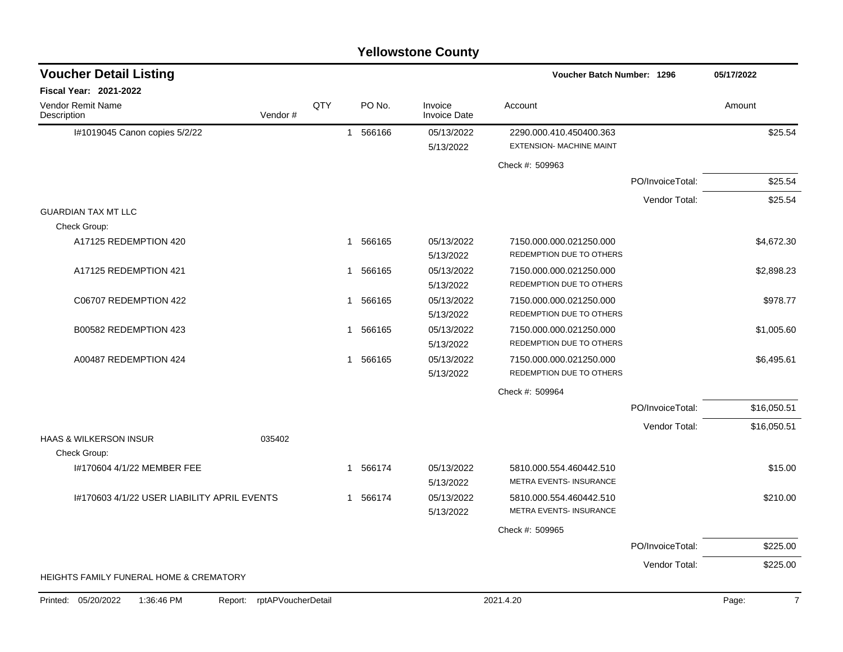### I#1019045 Canon copies 5/2/22 1 1 566166 05/13/2022 2290.000.410.450400.363 \$25.54 5/13/2022 EXTENSION- MACHINE MAINT Check #: 509963 PO/InvoiceTotal: \$25.54 Vendor Total: \$25.54 GUARDIAN TAX MT LLC Check Group: A17125 REDEMPTION 420 **1 566165** 1 566165 05/13/2022 7150.000.000.021250.000 **64.672.30** \$4.672.30 5/13/2022 REDEMPTION DUE TO OTHERS A17125 REDEMPTION 421 **1 566165** 05/13/2022 7150.000.000.021250.000 **120 13:000 12:000 12:000** \$2,898.23 5/13/2022 REDEMPTION DUE TO OTHERS C06707 REDEMPTION 422 2 2 2 2 2 2 3 3 4 566165 2 2 3 3 4 566165 2 2 3 3 4 566165 2 3 3 3 4 566165 2 3 3 4 566165 3 4 566165 3 4 566165 3 4 566165 3 4 566165 3 4 566165 3 4 566165 3 4 566165 3 4 566 5 4 578.77 5/13/2022 REDEMPTION DUE TO OTHERS B00582 REDEMPTION 423 **1 566165** 1 566165 05/13/2022 7150.000.000.021250.000 **61** 566166 51,005.60 5/13/2022 REDEMPTION DUE TO OTHERS A00487 REDEMPTION 424 1 566165 05/13/2022 7150.000.000.021250.000 \$6,495.61 5/13/2022 REDEMPTION DUE TO OTHERS Check #: 509964 PO/InvoiceTotal: \$16,050.51 Vendor Total: \$16,050.51 HAAS & WILKERSON INSUR **Example 2018** 035402 Check Group: I#170604 4/1/22 MEMBER FEE 1 566174 05/13/2022 5810.000.554.460442.510 5/13/2022 METRA EVENTS- INSURANCE I#170603 4/1/22 USER LIABILITY APRIL EVENTS  $1.566174$   $0.05/13/2022$   $5810.000.554.460442.510$  \$210.00 5/13/2022 METRA EVENTS- INSURANCE Check #: 509965 PO/InvoiceTotal: \$225.00 Vendor Total: \$225.00 HEIGHTS FAMILY FUNERAL HOME & CREMATORY **Voucher Batch Number: Yellowstone County** Vendor Remit Name **Description Voucher Detail Listing Fiscal Year: 2021-2022 1296 05/17/2022** PO No. Invoice Account Amount Amount Amount Amount Vendor # **QTY** Invoice Date Printed: 05/20/2022 1:36:46 PM Report: rptAPVoucherDetail 2021.4.20 2021.4.20 Page: 7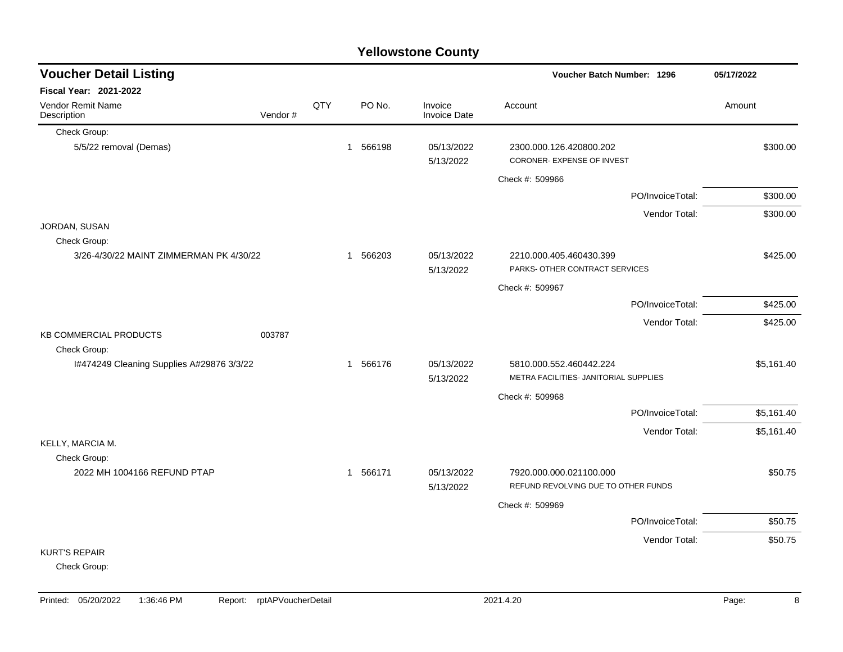|                                                         |         |     |          | <b>Yellowstone County</b>      |                                                                  |            |
|---------------------------------------------------------|---------|-----|----------|--------------------------------|------------------------------------------------------------------|------------|
| <b>Voucher Detail Listing</b>                           |         |     |          |                                | Voucher Batch Number: 1296                                       | 05/17/2022 |
| <b>Fiscal Year: 2021-2022</b>                           |         |     |          |                                |                                                                  |            |
| <b>Vendor Remit Name</b><br>Description                 | Vendor# | QTY | PO No.   | Invoice<br><b>Invoice Date</b> | Account                                                          | Amount     |
| Check Group:                                            |         |     |          |                                |                                                                  |            |
| 5/5/22 removal (Demas)                                  |         |     | 1 566198 | 05/13/2022<br>5/13/2022        | 2300.000.126.420800.202<br>CORONER- EXPENSE OF INVEST            | \$300.00   |
|                                                         |         |     |          |                                | Check #: 509966                                                  |            |
|                                                         |         |     |          |                                | PO/InvoiceTotal:                                                 | \$300.00   |
|                                                         |         |     |          |                                | Vendor Total:                                                    | \$300.00   |
| JORDAN, SUSAN                                           |         |     |          |                                |                                                                  |            |
| Check Group:<br>3/26-4/30/22 MAINT ZIMMERMAN PK 4/30/22 |         |     | 1 566203 | 05/13/2022<br>5/13/2022        | 2210.000.405.460430.399<br>PARKS- OTHER CONTRACT SERVICES        | \$425.00   |
|                                                         |         |     |          |                                | Check #: 509967                                                  |            |
|                                                         |         |     |          |                                | PO/InvoiceTotal:                                                 | \$425.00   |
|                                                         |         |     |          |                                | Vendor Total:                                                    | \$425.00   |
| <b>KB COMMERCIAL PRODUCTS</b><br>Check Group:           | 003787  |     |          |                                |                                                                  |            |
| 1#474249 Cleaning Supplies A#29876 3/3/22               |         |     | 1 566176 | 05/13/2022<br>5/13/2022        | 5810.000.552.460442.224<br>METRA FACILITIES- JANITORIAL SUPPLIES | \$5,161.40 |
|                                                         |         |     |          |                                | Check #: 509968                                                  |            |
|                                                         |         |     |          |                                | PO/InvoiceTotal:                                                 | \$5,161.40 |
|                                                         |         |     |          |                                | Vendor Total:                                                    | \$5,161.40 |
| KELLY, MARCIA M.<br>Check Group:                        |         |     |          |                                |                                                                  |            |
| 2022 MH 1004166 REFUND PTAP                             |         |     | 1 566171 | 05/13/2022<br>5/13/2022        | 7920.000.000.021100.000<br>REFUND REVOLVING DUE TO OTHER FUNDS   | \$50.75    |
|                                                         |         |     |          |                                | Check #: 509969                                                  |            |
|                                                         |         |     |          |                                | PO/InvoiceTotal:                                                 | \$50.75    |
|                                                         |         |     |          |                                | Vendor Total:                                                    | \$50.75    |
| <b>KURT'S REPAIR</b><br>Check Group:                    |         |     |          |                                |                                                                  |            |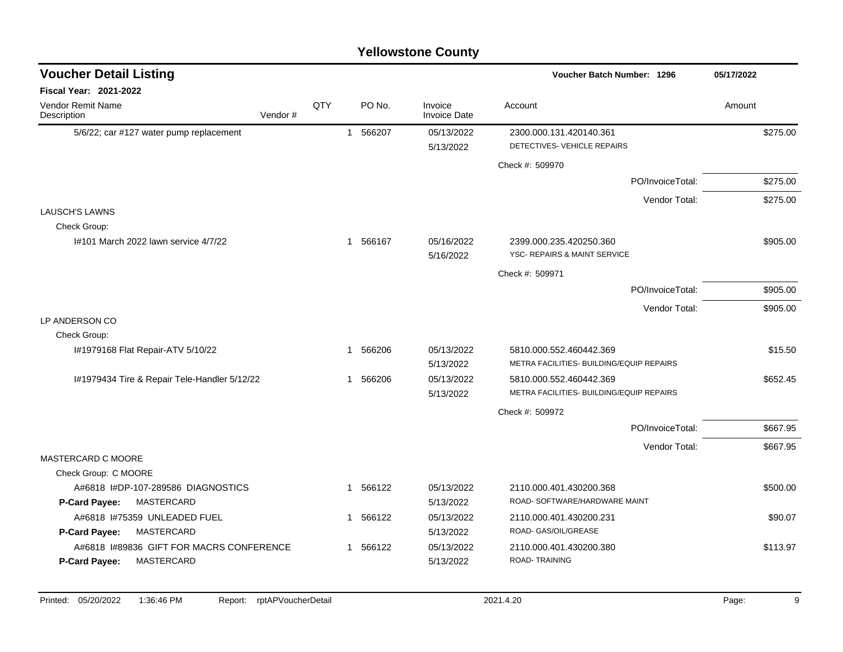| <b>Voucher Detail Listing</b>                        |     |                        |                                | Voucher Batch Number: 1296               | 05/17/2022 |
|------------------------------------------------------|-----|------------------------|--------------------------------|------------------------------------------|------------|
| <b>Fiscal Year: 2021-2022</b>                        |     |                        |                                |                                          |            |
| Vendor Remit Name<br>Description<br>Vendor#          | QTY | PO No.                 | Invoice<br><b>Invoice Date</b> | Account                                  | Amount     |
| 5/6/22; car #127 water pump replacement              |     | 566207<br>$\mathbf{1}$ | 05/13/2022                     | 2300.000.131.420140.361                  | \$275.00   |
|                                                      |     |                        | 5/13/2022                      | DETECTIVES- VEHICLE REPAIRS              |            |
|                                                      |     |                        |                                | Check #: 509970                          |            |
|                                                      |     |                        |                                | PO/InvoiceTotal:                         | \$275.00   |
|                                                      |     |                        |                                | Vendor Total:                            | \$275.00   |
| LAUSCH'S LAWNS                                       |     |                        |                                |                                          |            |
| Check Group:<br>I#101 March 2022 lawn service 4/7/22 |     | 1 566167               | 05/16/2022                     | 2399.000.235.420250.360                  | \$905.00   |
|                                                      |     |                        | 5/16/2022                      | YSC- REPAIRS & MAINT SERVICE             |            |
|                                                      |     |                        |                                | Check #: 509971                          |            |
|                                                      |     |                        |                                | PO/InvoiceTotal:                         | \$905.00   |
|                                                      |     |                        |                                | Vendor Total:                            | \$905.00   |
| LP ANDERSON CO                                       |     |                        |                                |                                          |            |
| Check Group:                                         |     |                        |                                |                                          |            |
| I#1979168 Flat Repair-ATV 5/10/22                    |     | 566206<br>1            | 05/13/2022                     | 5810.000.552.460442.369                  | \$15.50    |
|                                                      |     |                        | 5/13/2022                      | METRA FACILITIES- BUILDING/EQUIP REPAIRS |            |
| I#1979434 Tire & Repair Tele-Handler 5/12/22         |     | 566206<br>-1           | 05/13/2022                     | 5810.000.552.460442.369                  | \$652.45   |
|                                                      |     |                        | 5/13/2022                      | METRA FACILITIES- BUILDING/EQUIP REPAIRS |            |
|                                                      |     |                        |                                | Check #: 509972                          |            |
|                                                      |     |                        |                                | PO/InvoiceTotal:                         | \$667.95   |
|                                                      |     |                        |                                | Vendor Total:                            | \$667.95   |
| MASTERCARD C MOORE<br>Check Group: C MOORE           |     |                        |                                |                                          |            |
| A#6818 I#DP-107-289586 DIAGNOSTICS                   |     | 566122<br>$\mathbf{1}$ | 05/13/2022                     | 2110.000.401.430200.368                  | \$500.00   |
| P-Card Payee:<br>MASTERCARD                          |     |                        | 5/13/2022                      | ROAD- SOFTWARE/HARDWARE MAINT            |            |
| A#6818 1#75359 UNLEADED FUEL                         |     | 566122<br>1            | 05/13/2022                     | 2110.000.401.430200.231                  | \$90.07    |
| MASTERCARD<br>P-Card Payee:                          |     |                        | 5/13/2022                      | ROAD- GAS/OIL/GREASE                     |            |
| A#6818 1#89836 GIFT FOR MACRS CONFERENCE             |     | 566122<br>$\mathbf 1$  | 05/13/2022                     | 2110.000.401.430200.380                  | \$113.97   |
| MASTERCARD<br>P-Card Payee:                          |     |                        | 5/13/2022                      | <b>ROAD-TRAINING</b>                     |            |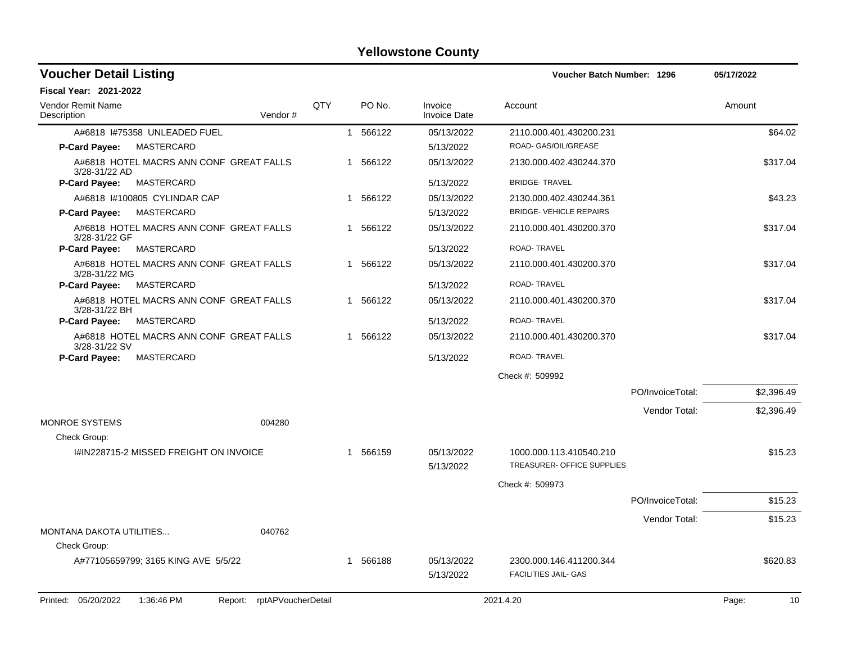| <b>Voucher Detail Listing</b>                                   |            |              |        |                                | Voucher Batch Number: 1296                            |                  | 05/17/2022  |
|-----------------------------------------------------------------|------------|--------------|--------|--------------------------------|-------------------------------------------------------|------------------|-------------|
| Fiscal Year: 2021-2022                                          |            |              |        |                                |                                                       |                  |             |
| Vendor Remit Name<br>Vendor#<br>Description                     | <b>QTY</b> |              | PO No. | Invoice<br><b>Invoice Date</b> | Account                                               |                  | Amount      |
| A#6818 I#75358 UNLEADED FUEL                                    |            | $\mathbf{1}$ | 566122 | 05/13/2022                     | 2110.000.401.430200.231                               |                  | \$64.02     |
| MASTERCARD<br><b>P-Card Payee:</b>                              |            |              |        | 5/13/2022                      | ROAD- GAS/OIL/GREASE                                  |                  |             |
| A#6818 HOTEL MACRS ANN CONF GREAT FALLS<br>3/28-31/22 AD        |            | 1            | 566122 | 05/13/2022                     | 2130.000.402.430244.370                               |                  | \$317.04    |
| <b>MASTERCARD</b><br><b>P-Card Payee:</b>                       |            |              |        | 5/13/2022                      | <b>BRIDGE-TRAVEL</b>                                  |                  |             |
| A#6818 I#100805 CYLINDAR CAP                                    |            | $\mathbf 1$  | 566122 | 05/13/2022                     | 2130.000.402.430244.361                               |                  | \$43.23     |
| <b>MASTERCARD</b><br><b>P-Card Payee:</b>                       |            |              |        | 5/13/2022                      | <b>BRIDGE- VEHICLE REPAIRS</b>                        |                  |             |
| A#6818 HOTEL MACRS ANN CONF GREAT FALLS<br>3/28-31/22 GF        |            | 1            | 566122 | 05/13/2022                     | 2110.000.401.430200.370                               |                  | \$317.04    |
| <b>P-Card Payee:</b><br>MASTERCARD                              |            |              |        | 5/13/2022                      | ROAD-TRAVEL                                           |                  |             |
| A#6818 HOTEL MACRS ANN CONF GREAT FALLS<br>3/28-31/22 MG        |            | -1           | 566122 | 05/13/2022                     | 2110.000.401.430200.370                               |                  | \$317.04    |
| <b>MASTERCARD</b><br><b>P-Card Payee:</b>                       |            |              |        | 5/13/2022                      | ROAD-TRAVEL                                           |                  |             |
| A#6818 HOTEL MACRS ANN CONF GREAT FALLS<br>3/28-31/22 BH        |            | $\mathbf 1$  | 566122 | 05/13/2022                     | 2110.000.401.430200.370                               |                  | \$317.04    |
| <b>MASTERCARD</b><br>P-Card Payee:                              |            |              |        | 5/13/2022                      | ROAD-TRAVEL                                           |                  |             |
| A#6818 HOTEL MACRS ANN CONF GREAT FALLS<br>3/28-31/22 SV        |            | $\mathbf 1$  | 566122 | 05/13/2022                     | 2110.000.401.430200.370                               |                  | \$317.04    |
| MASTERCARD<br><b>P-Card Payee:</b>                              |            |              |        | 5/13/2022                      | ROAD-TRAVEL                                           |                  |             |
|                                                                 |            |              |        |                                | Check #: 509992                                       |                  |             |
|                                                                 |            |              |        |                                |                                                       | PO/InvoiceTotal: | \$2,396.49  |
|                                                                 |            |              |        |                                |                                                       | Vendor Total:    | \$2,396.49  |
| <b>MONROE SYSTEMS</b><br>004280                                 |            |              |        |                                |                                                       |                  |             |
| Check Group:                                                    |            |              |        |                                |                                                       |                  |             |
| I#IN228715-2 MISSED FREIGHT ON INVOICE                          |            | $\mathbf{1}$ | 566159 | 05/13/2022<br>5/13/2022        | 1000.000.113.410540.210<br>TREASURER- OFFICE SUPPLIES |                  | \$15.23     |
|                                                                 |            |              |        |                                | Check #: 509973                                       |                  |             |
|                                                                 |            |              |        |                                |                                                       | PO/InvoiceTotal: | \$15.23     |
|                                                                 |            |              |        |                                |                                                       | Vendor Total:    | \$15.23     |
| MONTANA DAKOTA UTILITIES<br>040762<br>Check Group:              |            |              |        |                                |                                                       |                  |             |
| A#77105659799; 3165 KING AVE 5/5/22                             |            | 1            | 566188 | 05/13/2022                     | 2300.000.146.411200.344                               |                  | \$620.83    |
|                                                                 |            |              |        | 5/13/2022                      | <b>FACILITIES JAIL- GAS</b>                           |                  |             |
| 1:36:46 PM<br>Report: rptAPVoucherDetail<br>Printed: 05/20/2022 |            |              |        |                                | 2021.4.20                                             |                  | Page:<br>10 |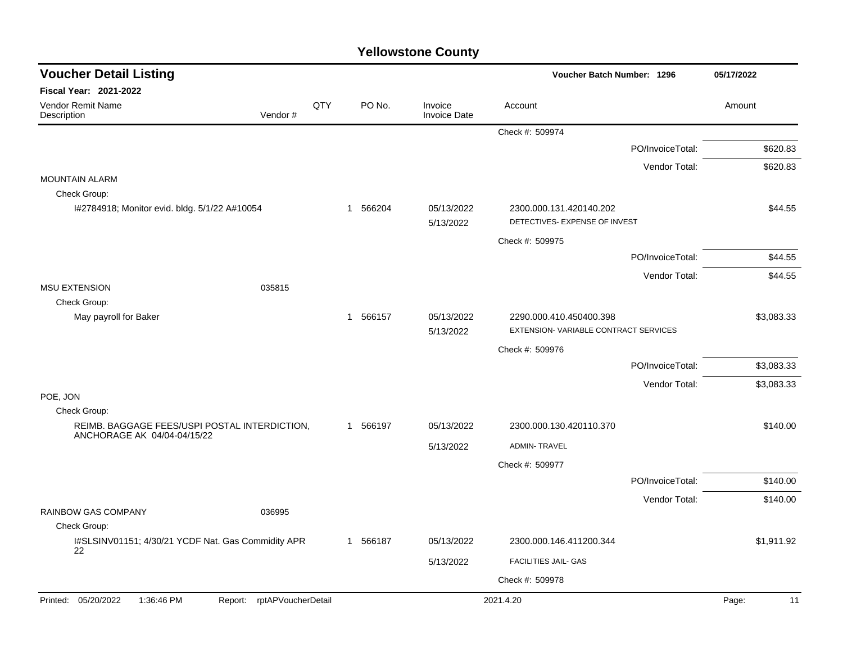| <b>Voucher Detail Listing</b>                                                |                            |     |                        |                                | Voucher Batch Number: 1296                                      |                  | 05/17/2022  |
|------------------------------------------------------------------------------|----------------------------|-----|------------------------|--------------------------------|-----------------------------------------------------------------|------------------|-------------|
| Fiscal Year: 2021-2022                                                       |                            |     |                        |                                |                                                                 |                  |             |
| Vendor Remit Name<br>Description                                             | Vendor#                    | QTY | PO No.                 | Invoice<br><b>Invoice Date</b> | Account                                                         |                  | Amount      |
|                                                                              |                            |     |                        |                                | Check #: 509974                                                 |                  |             |
|                                                                              |                            |     |                        |                                |                                                                 | PO/InvoiceTotal: | \$620.83    |
|                                                                              |                            |     |                        |                                |                                                                 | Vendor Total:    | \$620.83    |
| <b>MOUNTAIN ALARM</b><br>Check Group:                                        |                            |     |                        |                                |                                                                 |                  |             |
| I#2784918; Monitor evid. bldg. 5/1/22 A#10054                                |                            |     | 1 566204               | 05/13/2022<br>5/13/2022        | 2300.000.131.420140.202<br>DETECTIVES- EXPENSE OF INVEST        |                  | \$44.55     |
|                                                                              |                            |     |                        |                                | Check #: 509975                                                 |                  |             |
|                                                                              |                            |     |                        |                                |                                                                 | PO/InvoiceTotal: | \$44.55     |
|                                                                              |                            |     |                        |                                |                                                                 | Vendor Total:    | \$44.55     |
| <b>MSU EXTENSION</b><br>Check Group:                                         | 035815                     |     |                        |                                |                                                                 |                  |             |
| May payroll for Baker                                                        |                            |     | 566157<br>$\mathbf{1}$ | 05/13/2022<br>5/13/2022        | 2290.000.410.450400.398<br>EXTENSION-VARIABLE CONTRACT SERVICES |                  | \$3,083.33  |
|                                                                              |                            |     |                        |                                | Check #: 509976                                                 |                  |             |
|                                                                              |                            |     |                        |                                |                                                                 | PO/InvoiceTotal: | \$3,083.33  |
|                                                                              |                            |     |                        |                                |                                                                 | Vendor Total:    | \$3,083.33  |
| POE, JON<br>Check Group:                                                     |                            |     |                        |                                |                                                                 |                  |             |
| REIMB. BAGGAGE FEES/USPI POSTAL INTERDICTION,<br>ANCHORAGE AK 04/04-04/15/22 |                            |     | 1 566197               | 05/13/2022                     | 2300.000.130.420110.370                                         |                  | \$140.00    |
|                                                                              |                            |     |                        | 5/13/2022                      | <b>ADMIN-TRAVEL</b>                                             |                  |             |
|                                                                              |                            |     |                        |                                | Check #: 509977                                                 |                  |             |
|                                                                              |                            |     |                        |                                |                                                                 | PO/InvoiceTotal: | \$140.00    |
|                                                                              |                            |     |                        |                                |                                                                 | Vendor Total:    | \$140.00    |
| RAINBOW GAS COMPANY<br>Check Group:                                          | 036995                     |     |                        |                                |                                                                 |                  |             |
| I#SLSINV01151; 4/30/21 YCDF Nat. Gas Commidity APR                           |                            |     | 1 566187               | 05/13/2022                     | 2300.000.146.411200.344                                         |                  | \$1,911.92  |
| 22                                                                           |                            |     |                        | 5/13/2022                      | FACILITIES JAIL- GAS                                            |                  |             |
|                                                                              |                            |     |                        |                                | Check #: 509978                                                 |                  |             |
| Printed: 05/20/2022<br>1:36:46 PM                                            | Report: rptAPVoucherDetail |     |                        |                                | 2021.4.20                                                       |                  | Page:<br>11 |
|                                                                              |                            |     |                        |                                |                                                                 |                  |             |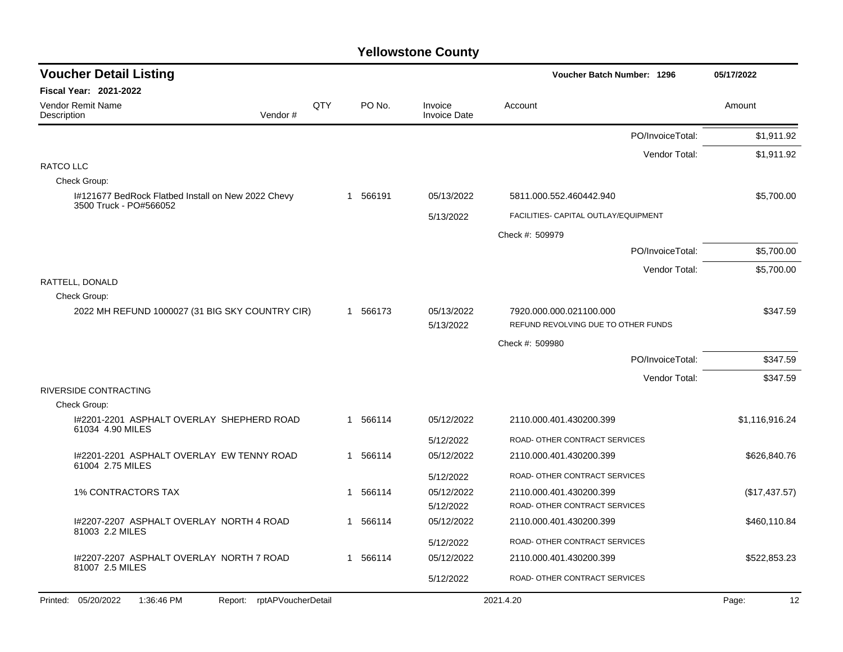| <b>Voucher Detail Listing</b>                                      |     |    |          |                                | Voucher Batch Number: 1296           | 05/17/2022     |
|--------------------------------------------------------------------|-----|----|----------|--------------------------------|--------------------------------------|----------------|
| <b>Fiscal Year: 2021-2022</b>                                      |     |    |          |                                |                                      |                |
| Vendor Remit Name<br>Description<br>Vendor#                        | QTY |    | PO No.   | Invoice<br><b>Invoice Date</b> | Account                              | Amount         |
|                                                                    |     |    |          |                                | PO/InvoiceTotal:                     | \$1,911.92     |
|                                                                    |     |    |          |                                | Vendor Total:                        | \$1,911.92     |
| RATCO LLC                                                          |     |    |          |                                |                                      |                |
| Check Group:<br>I#121677 BedRock Flatbed Install on New 2022 Chevy |     |    | 1 566191 | 05/13/2022                     | 5811.000.552.460442.940              | \$5,700.00     |
| 3500 Truck - PO#566052                                             |     |    |          |                                |                                      |                |
|                                                                    |     |    |          | 5/13/2022                      | FACILITIES- CAPITAL OUTLAY/EQUIPMENT |                |
|                                                                    |     |    |          |                                | Check #: 509979                      |                |
|                                                                    |     |    |          |                                | PO/InvoiceTotal:                     | \$5,700.00     |
|                                                                    |     |    |          |                                | Vendor Total:                        | \$5,700.00     |
| RATTELL, DONALD<br>Check Group:                                    |     |    |          |                                |                                      |                |
| 2022 MH REFUND 1000027 (31 BIG SKY COUNTRY CIR)                    |     |    | 1 566173 | 05/13/2022                     | 7920.000.000.021100.000              | \$347.59       |
|                                                                    |     |    |          | 5/13/2022                      | REFUND REVOLVING DUE TO OTHER FUNDS  |                |
|                                                                    |     |    |          |                                | Check #: 509980                      |                |
|                                                                    |     |    |          |                                | PO/InvoiceTotal:                     | \$347.59       |
|                                                                    |     |    |          |                                | Vendor Total:                        | \$347.59       |
| RIVERSIDE CONTRACTING                                              |     |    |          |                                |                                      |                |
| Check Group:                                                       |     |    |          |                                |                                      |                |
| I#2201-2201 ASPHALT OVERLAY SHEPHERD ROAD<br>61034 4.90 MILES      |     |    | 566114   | 05/12/2022                     | 2110.000.401.430200.399              | \$1,116,916.24 |
|                                                                    |     |    |          | 5/12/2022                      | ROAD- OTHER CONTRACT SERVICES        |                |
| 1#2201-2201 ASPHALT OVERLAY EW TENNY ROAD<br>61004 2.75 MILES      |     | 1  | 566114   | 05/12/2022                     | 2110.000.401.430200.399              | \$626,840.76   |
|                                                                    |     |    |          | 5/12/2022                      | ROAD- OTHER CONTRACT SERVICES        |                |
| <b>1% CONTRACTORS TAX</b>                                          |     | -1 | 566114   | 05/12/2022                     | 2110.000.401.430200.399              | (\$17,437.57)  |
|                                                                    |     |    |          | 5/12/2022                      | ROAD- OTHER CONTRACT SERVICES        |                |
| I#2207-2207 ASPHALT OVERLAY NORTH 4 ROAD<br>81003 2.2 MILES        |     | 1  | 566114   | 05/12/2022                     | 2110.000.401.430200.399              | \$460,110.84   |
|                                                                    |     |    |          | 5/12/2022                      | ROAD- OTHER CONTRACT SERVICES        |                |
| 1#2207-2207 ASPHALT OVERLAY NORTH 7 ROAD<br>81007 2.5 MILES        |     |    | 1 566114 | 05/12/2022                     | 2110.000.401.430200.399              | \$522,853.23   |
|                                                                    |     |    |          | 5/12/2022                      | ROAD- OTHER CONTRACT SERVICES        |                |
| Printed: 05/20/2022<br>1:36:46 PM<br>Report: rptAPVoucherDetail    |     |    |          |                                | 2021.4.20                            | Page:<br>12    |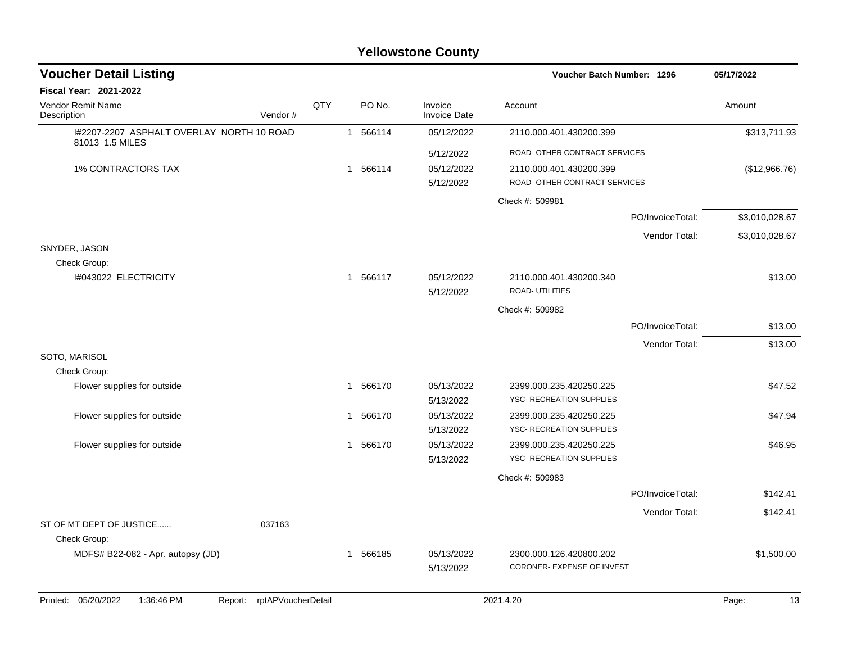| <b>Voucher Detail Listing</b>             |                               |     |                        |                                | Voucher Batch Number: 1296                                 |                  | 05/17/2022     |
|-------------------------------------------|-------------------------------|-----|------------------------|--------------------------------|------------------------------------------------------------|------------------|----------------|
| <b>Fiscal Year: 2021-2022</b>             |                               |     |                        |                                |                                                            |                  |                |
| <b>Vendor Remit Name</b><br>Description   | Vendor#                       | QTY | PO No.                 | Invoice<br><b>Invoice Date</b> | Account                                                    |                  | Amount         |
| I#2207-2207 ASPHALT OVERLAY NORTH 10 ROAD |                               |     | 1 566114               | 05/12/2022                     | 2110.000.401.430200.399                                    |                  | \$313,711.93   |
| 81013 1.5 MILES                           |                               |     |                        | 5/12/2022                      | ROAD- OTHER CONTRACT SERVICES                              |                  |                |
| <b>1% CONTRACTORS TAX</b>                 |                               |     | 1 566114               | 05/12/2022<br>5/12/2022        | 2110.000.401.430200.399<br>ROAD- OTHER CONTRACT SERVICES   |                  | (\$12,966.76)  |
|                                           |                               |     |                        |                                | Check #: 509981                                            |                  |                |
|                                           |                               |     |                        |                                |                                                            | PO/InvoiceTotal: | \$3,010,028.67 |
|                                           |                               |     |                        |                                |                                                            | Vendor Total:    | \$3,010,028.67 |
| SNYDER, JASON                             |                               |     |                        |                                |                                                            |                  |                |
| Check Group:<br>I#043022 ELECTRICITY      |                               |     | 1 566117               | 05/12/2022<br>5/12/2022        | 2110.000.401.430200.340<br>ROAD- UTILITIES                 |                  | \$13.00        |
|                                           |                               |     |                        |                                | Check #: 509982                                            |                  |                |
|                                           |                               |     |                        |                                |                                                            | PO/InvoiceTotal: | \$13.00        |
|                                           |                               |     |                        |                                |                                                            | Vendor Total:    | \$13.00        |
| SOTO, MARISOL<br>Check Group:             |                               |     |                        |                                |                                                            |                  |                |
| Flower supplies for outside               |                               |     | 1 566170               | 05/13/2022<br>5/13/2022        | 2399.000.235.420250.225<br>YSC- RECREATION SUPPLIES        |                  | \$47.52        |
| Flower supplies for outside               |                               |     | 566170<br>$\mathbf{1}$ | 05/13/2022<br>5/13/2022        | 2399.000.235.420250.225<br>YSC- RECREATION SUPPLIES        |                  | \$47.94        |
| Flower supplies for outside               |                               |     | 1 566170               | 05/13/2022<br>5/13/2022        | 2399.000.235.420250.225<br><b>YSC- RECREATION SUPPLIES</b> |                  | \$46.95        |
|                                           |                               |     |                        |                                | Check #: 509983                                            |                  |                |
|                                           |                               |     |                        |                                |                                                            | PO/InvoiceTotal: | \$142.41       |
|                                           |                               |     |                        |                                |                                                            | Vendor Total:    | \$142.41       |
| ST OF MT DEPT OF JUSTICE<br>Check Group:  | 037163                        |     |                        |                                |                                                            |                  |                |
| MDFS# B22-082 - Apr. autopsy (JD)         |                               |     | 1 566185               | 05/13/2022                     | 2300.000.126.420800.202                                    |                  | \$1,500.00     |
|                                           |                               |     |                        | 5/13/2022                      | CORONER- EXPENSE OF INVEST                                 |                  |                |
| Printed: 05/20/2022<br>1:36:46 PM         | rptAPVoucherDetail<br>Report: |     |                        |                                | 2021.4.20                                                  |                  | Page:<br>13    |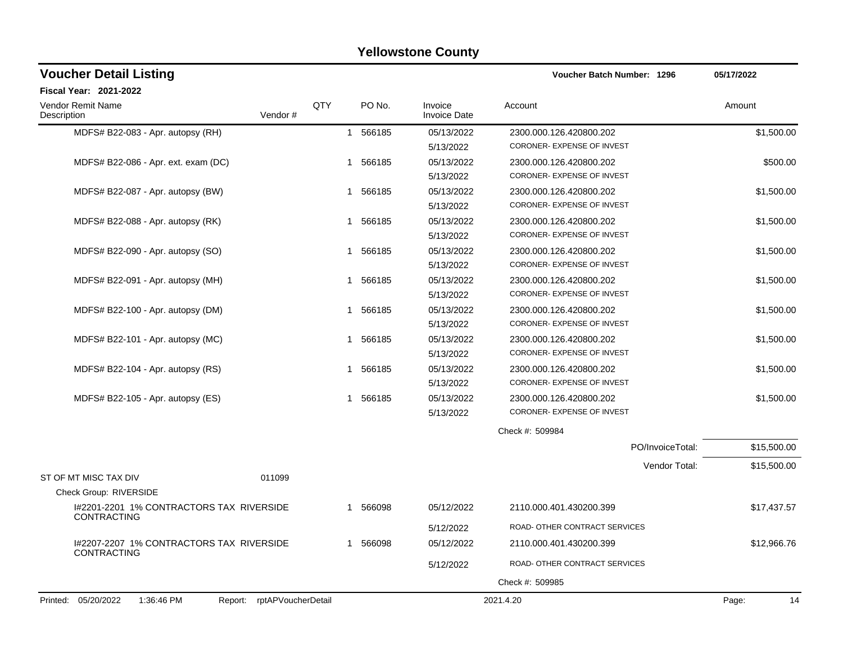| <b>Voucher Detail Listing</b>                                      |              |          |                                | Voucher Batch Number: 1296    | 05/17/2022  |
|--------------------------------------------------------------------|--------------|----------|--------------------------------|-------------------------------|-------------|
| Fiscal Year: 2021-2022                                             |              |          |                                |                               |             |
| QTY<br><b>Vendor Remit Name</b><br>Vendor#<br>Description          |              | PO No.   | Invoice<br><b>Invoice Date</b> | Account                       | Amount      |
| MDFS# B22-083 - Apr. autopsy (RH)                                  | $\mathbf{1}$ | 566185   | 05/13/2022                     | 2300.000.126.420800.202       | \$1,500.00  |
|                                                                    |              |          | 5/13/2022                      | CORONER- EXPENSE OF INVEST    |             |
| MDFS# B22-086 - Apr. ext. exam (DC)                                | $\mathbf{1}$ | 566185   | 05/13/2022                     | 2300.000.126.420800.202       | \$500.00    |
|                                                                    |              |          | 5/13/2022                      | CORONER- EXPENSE OF INVEST    |             |
| MDFS# B22-087 - Apr. autopsy (BW)                                  |              | 1 566185 | 05/13/2022                     | 2300.000.126.420800.202       | \$1,500.00  |
|                                                                    |              |          | 5/13/2022                      | CORONER- EXPENSE OF INVEST    |             |
| MDFS# B22-088 - Apr. autopsy (RK)                                  |              | 1 566185 | 05/13/2022                     | 2300.000.126.420800.202       | \$1,500.00  |
|                                                                    |              |          | 5/13/2022                      | CORONER- EXPENSE OF INVEST    |             |
| MDFS# B22-090 - Apr. autopsy (SO)                                  |              | 1 566185 | 05/13/2022                     | 2300.000.126.420800.202       | \$1,500.00  |
|                                                                    |              |          | 5/13/2022                      | CORONER- EXPENSE OF INVEST    |             |
| MDFS# B22-091 - Apr. autopsy (MH)                                  | 1            | 566185   | 05/13/2022                     | 2300.000.126.420800.202       | \$1,500.00  |
|                                                                    |              |          | 5/13/2022                      | CORONER- EXPENSE OF INVEST    |             |
| MDFS# B22-100 - Apr. autopsy (DM)                                  | 1            | 566185   | 05/13/2022                     | 2300.000.126.420800.202       | \$1,500.00  |
|                                                                    |              |          | 5/13/2022                      | CORONER- EXPENSE OF INVEST    |             |
| MDFS# B22-101 - Apr. autopsy (MC)                                  | 1            | 566185   | 05/13/2022                     | 2300.000.126.420800.202       | \$1,500.00  |
|                                                                    |              |          | 5/13/2022                      | CORONER- EXPENSE OF INVEST    |             |
| MDFS# B22-104 - Apr. autopsy (RS)                                  | 1            | 566185   | 05/13/2022                     | 2300.000.126.420800.202       | \$1,500.00  |
|                                                                    |              |          | 5/13/2022                      | CORONER- EXPENSE OF INVEST    |             |
| MDFS# B22-105 - Apr. autopsy (ES)                                  | -1           | 566185   | 05/13/2022                     | 2300.000.126.420800.202       | \$1,500.00  |
|                                                                    |              |          | 5/13/2022                      | CORONER- EXPENSE OF INVEST    |             |
|                                                                    |              |          |                                | Check #: 509984               |             |
|                                                                    |              |          |                                | PO/InvoiceTotal:              | \$15,500.00 |
|                                                                    |              |          |                                | Vendor Total:                 | \$15,500.00 |
| ST OF MT MISC TAX DIV<br>011099                                    |              |          |                                |                               |             |
| Check Group: RIVERSIDE                                             |              |          |                                |                               |             |
| I#2201-2201 1% CONTRACTORS TAX RIVERSIDE<br>CONTRACTING            | -1           | 566098   | 05/12/2022                     | 2110.000.401.430200.399       | \$17,437.57 |
|                                                                    |              |          | 5/12/2022                      | ROAD- OTHER CONTRACT SERVICES |             |
| I#2207-2207 1% CONTRACTORS TAX RIVERSIDE<br>CONTRACTING            | $\mathbf 1$  | 566098   | 05/12/2022                     | 2110.000.401.430200.399       | \$12,966.76 |
|                                                                    |              |          | 5/12/2022                      | ROAD- OTHER CONTRACT SERVICES |             |
|                                                                    |              |          |                                |                               |             |
| rptAPVoucherDetail<br>Printed: 05/20/2022<br>1:36:46 PM<br>Report: |              |          |                                | 2021.4.20                     | Page:<br>14 |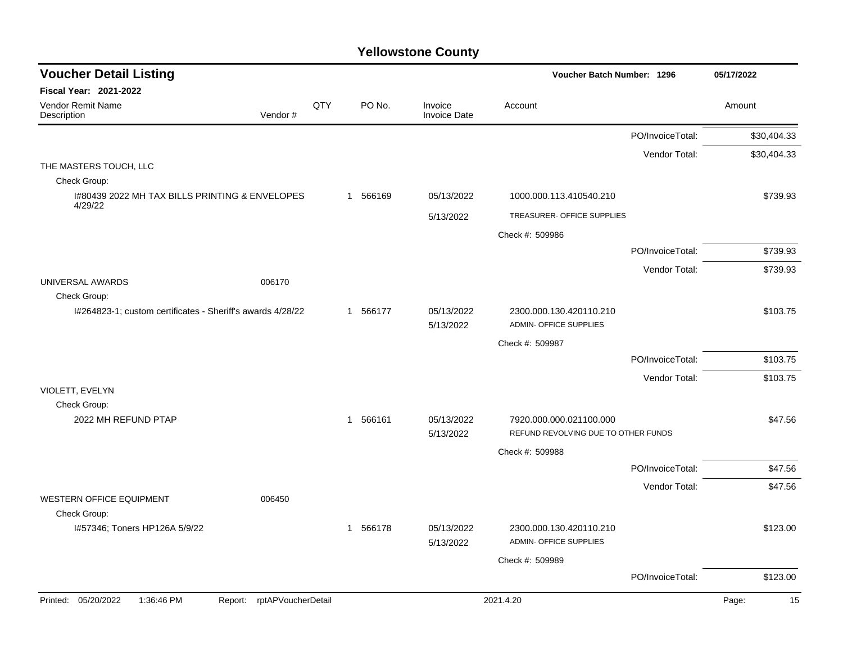| <b>Voucher Detail Listing</b>                                   |            |          |                                | <b>Voucher Batch Number: 1296</b>                        |                  | 05/17/2022  |
|-----------------------------------------------------------------|------------|----------|--------------------------------|----------------------------------------------------------|------------------|-------------|
| <b>Fiscal Year: 2021-2022</b>                                   |            |          |                                |                                                          |                  |             |
| <b>Vendor Remit Name</b><br>Vendor#<br>Description              | <b>QTY</b> | PO No.   | Invoice<br><b>Invoice Date</b> | Account                                                  |                  | Amount      |
|                                                                 |            |          |                                |                                                          | PO/InvoiceTotal: | \$30,404.33 |
|                                                                 |            |          |                                |                                                          | Vendor Total:    | \$30,404.33 |
| THE MASTERS TOUCH, LLC<br>Check Group:                          |            |          |                                |                                                          |                  |             |
| I#80439 2022 MH TAX BILLS PRINTING & ENVELOPES                  |            | 1 566169 | 05/13/2022                     | 1000.000.113.410540.210                                  |                  | \$739.93    |
| 4/29/22                                                         |            |          | 5/13/2022                      | TREASURER- OFFICE SUPPLIES                               |                  |             |
|                                                                 |            |          |                                | Check #: 509986                                          |                  |             |
|                                                                 |            |          |                                |                                                          | PO/InvoiceTotal: | \$739.93    |
|                                                                 |            |          |                                |                                                          | Vendor Total:    | \$739.93    |
| UNIVERSAL AWARDS<br>006170<br>Check Group:                      |            |          |                                |                                                          |                  |             |
| I#264823-1; custom certificates - Sheriff's awards 4/28/22      |            | 1 566177 | 05/13/2022<br>5/13/2022        | 2300.000.130.420110.210<br><b>ADMIN- OFFICE SUPPLIES</b> |                  | \$103.75    |
|                                                                 |            |          |                                | Check #: 509987                                          |                  |             |
|                                                                 |            |          |                                |                                                          | PO/InvoiceTotal: | \$103.75    |
|                                                                 |            |          |                                |                                                          | Vendor Total:    | \$103.75    |
| VIOLETT, EVELYN                                                 |            |          |                                |                                                          |                  |             |
| Check Group:<br>2022 MH REFUND PTAP                             |            | 1 566161 | 05/13/2022                     | 7920.000.000.021100.000                                  |                  | \$47.56     |
|                                                                 |            |          | 5/13/2022                      | REFUND REVOLVING DUE TO OTHER FUNDS                      |                  |             |
|                                                                 |            |          |                                | Check #: 509988                                          |                  |             |
|                                                                 |            |          |                                |                                                          | PO/InvoiceTotal: | \$47.56     |
| <b>WESTERN OFFICE EQUIPMENT</b><br>006450                       |            |          |                                |                                                          | Vendor Total:    | \$47.56     |
| Check Group:                                                    |            |          |                                |                                                          |                  |             |
| I#57346; Toners HP126A 5/9/22                                   |            | 1 566178 | 05/13/2022<br>5/13/2022        | 2300.000.130.420110.210<br>ADMIN- OFFICE SUPPLIES        |                  | \$123.00    |
|                                                                 |            |          |                                | Check #: 509989                                          |                  |             |
|                                                                 |            |          |                                |                                                          | PO/InvoiceTotal: | \$123.00    |
| Printed: 05/20/2022<br>Report: rptAPVoucherDetail<br>1:36:46 PM |            |          |                                | 2021.4.20                                                |                  | 15<br>Page: |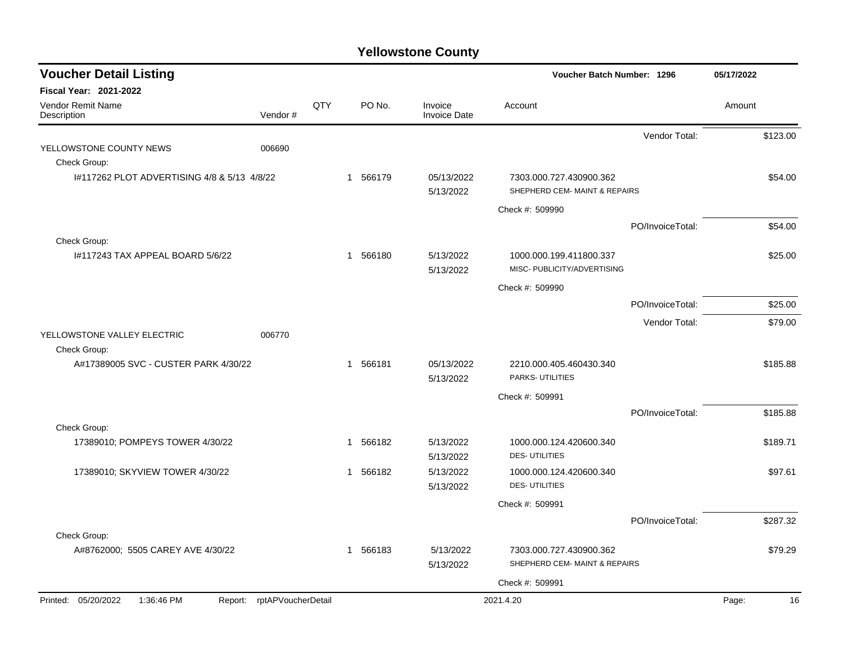| <b>Voucher Detail Listing</b>                                   |         |     |                          |                                | <b>Voucher Batch Number: 1296</b>                        |                  | 05/17/2022  |
|-----------------------------------------------------------------|---------|-----|--------------------------|--------------------------------|----------------------------------------------------------|------------------|-------------|
| <b>Fiscal Year: 2021-2022</b>                                   |         |     |                          |                                |                                                          |                  |             |
| Vendor Remit Name<br>Description                                | Vendor# | QTY | PO No.                   | Invoice<br><b>Invoice Date</b> | Account                                                  |                  | Amount      |
|                                                                 |         |     |                          |                                |                                                          | Vendor Total:    | \$123.00    |
| YELLOWSTONE COUNTY NEWS                                         | 006690  |     |                          |                                |                                                          |                  |             |
| Check Group:                                                    |         |     |                          |                                |                                                          |                  |             |
| 1#117262 PLOT ADVERTISING 4/8 & 5/13 4/8/22                     |         |     | 1 566179                 | 05/13/2022<br>5/13/2022        | 7303.000.727.430900.362<br>SHEPHERD CEM- MAINT & REPAIRS |                  | \$54.00     |
|                                                                 |         |     |                          |                                | Check #: 509990                                          |                  |             |
|                                                                 |         |     |                          |                                |                                                          | PO/InvoiceTotal: | \$54.00     |
| Check Group:                                                    |         |     |                          |                                |                                                          |                  |             |
| 1#117243 TAX APPEAL BOARD 5/6/22                                |         |     | 566180<br>$\mathbf 1$    | 5/13/2022<br>5/13/2022         | 1000.000.199.411800.337<br>MISC- PUBLICITY/ADVERTISING   |                  | \$25.00     |
|                                                                 |         |     |                          |                                | Check #: 509990                                          |                  |             |
|                                                                 |         |     |                          |                                |                                                          | PO/InvoiceTotal: | \$25.00     |
|                                                                 |         |     |                          |                                |                                                          | Vendor Total:    | \$79.00     |
| YELLOWSTONE VALLEY ELECTRIC                                     | 006770  |     |                          |                                |                                                          |                  |             |
| Check Group:                                                    |         |     |                          |                                |                                                          |                  |             |
| A#17389005 SVC - CUSTER PARK 4/30/22                            |         |     | 566181<br>$\mathbf{1}$   | 05/13/2022<br>5/13/2022        | 2210.000.405.460430.340<br>PARKS- UTILITIES              |                  | \$185.88    |
|                                                                 |         |     |                          |                                | Check #: 509991                                          |                  |             |
|                                                                 |         |     |                          |                                |                                                          | PO/InvoiceTotal: | \$185.88    |
| Check Group:                                                    |         |     |                          |                                |                                                          |                  |             |
| 17389010; POMPEYS TOWER 4/30/22                                 |         |     | 566182<br>$\overline{1}$ | 5/13/2022<br>5/13/2022         | 1000.000.124.420600.340<br><b>DES-UTILITIES</b>          |                  | \$189.71    |
| 17389010; SKYVIEW TOWER 4/30/22                                 |         |     | 566182<br>$\mathbf 1$    | 5/13/2022                      | 1000.000.124.420600.340                                  |                  | \$97.61     |
|                                                                 |         |     |                          | 5/13/2022                      | <b>DES-UTILITIES</b>                                     |                  |             |
|                                                                 |         |     |                          |                                | Check #: 509991                                          |                  |             |
|                                                                 |         |     |                          |                                |                                                          | PO/InvoiceTotal: | \$287.32    |
| Check Group:                                                    |         |     |                          |                                |                                                          |                  |             |
| A#8762000; 5505 CAREY AVE 4/30/22                               |         |     | 1 566183                 | 5/13/2022<br>5/13/2022         | 7303.000.727.430900.362<br>SHEPHERD CEM- MAINT & REPAIRS |                  | \$79.29     |
|                                                                 |         |     |                          |                                | Check #: 509991                                          |                  |             |
| Printed: 05/20/2022<br>1:36:46 PM<br>Report: rptAPVoucherDetail |         |     |                          |                                | 2021.4.20                                                |                  | Page:<br>16 |